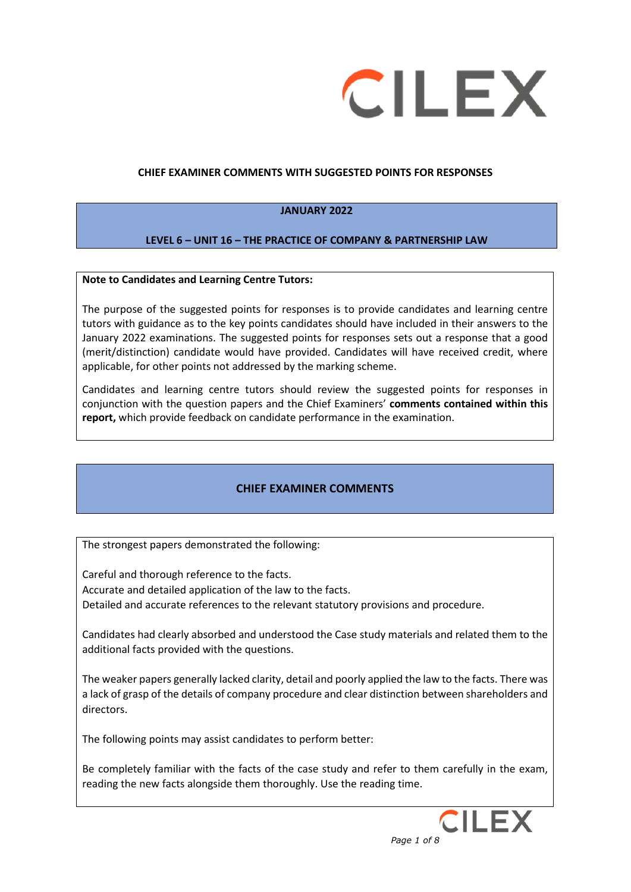

#### **CHIEF EXAMINER COMMENTS WITH SUGGESTED POINTS FOR RESPONSES**

### **JANUARY 2022**

#### **LEVEL 6 – UNIT 16 – THE PRACTICE OF COMPANY & PARTNERSHIP LAW**

#### **Note to Candidates and Learning Centre Tutors:**

The purpose of the suggested points for responses is to provide candidates and learning centre tutors with guidance as to the key points candidates should have included in their answers to the January 2022 examinations. The suggested points for responses sets out a response that a good (merit/distinction) candidate would have provided. Candidates will have received credit, where applicable, for other points not addressed by the marking scheme.

Candidates and learning centre tutors should review the suggested points for responses in conjunction with the question papers and the Chief Examiners' **comments contained within this report,** which provide feedback on candidate performance in the examination.

### **CHIEF EXAMINER COMMENTS**

The strongest papers demonstrated the following:

Careful and thorough reference to the facts. Accurate and detailed application of the law to the facts. Detailed and accurate references to the relevant statutory provisions and procedure.

Candidates had clearly absorbed and understood the Case study materials and related them to the additional facts provided with the questions.

The weaker papers generally lacked clarity, detail and poorly applied the law to the facts. There was a lack of grasp of the details of company procedure and clear distinction between shareholders and directors.

The following points may assist candidates to perform better:

Be completely familiar with the facts of the case study and refer to them carefully in the exam, reading the new facts alongside them thoroughly. Use the reading time.

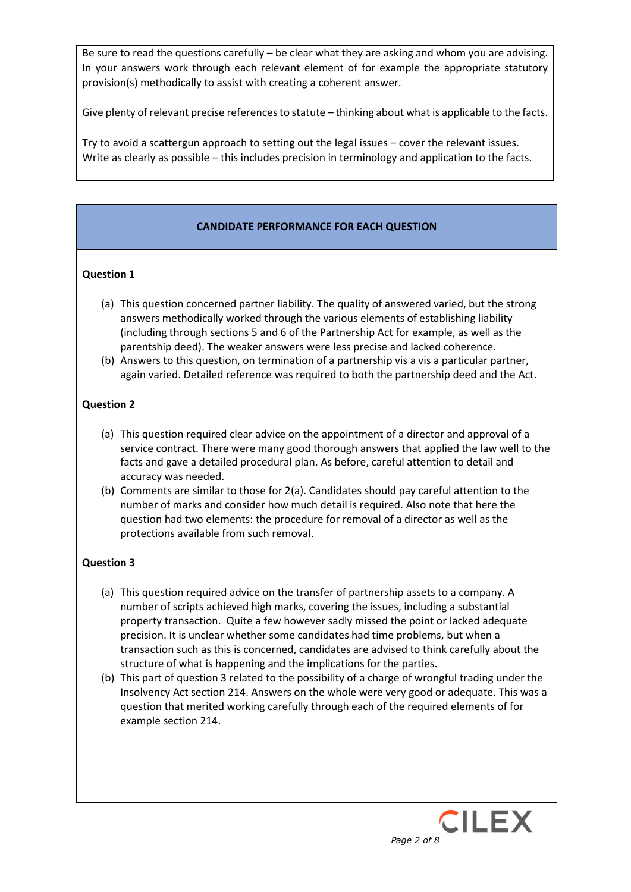Be sure to read the questions carefully – be clear what they are asking and whom you are advising. In your answers work through each relevant element of for example the appropriate statutory provision(s) methodically to assist with creating a coherent answer.

Give plenty of relevant precise references to statute – thinking about what is applicable to the facts.

Try to avoid a scattergun approach to setting out the legal issues – cover the relevant issues. Write as clearly as possible – this includes precision in terminology and application to the facts.

# **CANDIDATE PERFORMANCE FOR EACH QUESTION**

#### **Question 1**

- (a) This question concerned partner liability. The quality of answered varied, but the strong answers methodically worked through the various elements of establishing liability (including through sections 5 and 6 of the Partnership Act for example, as well as the parentship deed). The weaker answers were less precise and lacked coherence.
- (b) Answers to this question, on termination of a partnership vis a vis a particular partner, again varied. Detailed reference was required to both the partnership deed and the Act.

### **Question 2**

- (a) This question required clear advice on the appointment of a director and approval of a service contract. There were many good thorough answers that applied the law well to the facts and gave a detailed procedural plan. As before, careful attention to detail and accuracy was needed.
- (b) Comments are similar to those for 2(a). Candidates should pay careful attention to the number of marks and consider how much detail is required. Also note that here the question had two elements: the procedure for removal of a director as well as the protections available from such removal.

## **Question 3**

- (a) This question required advice on the transfer of partnership assets to a company. A number of scripts achieved high marks, covering the issues, including a substantial property transaction. Quite a few however sadly missed the point or lacked adequate precision. It is unclear whether some candidates had time problems, but when a transaction such as this is concerned, candidates are advised to think carefully about the structure of what is happening and the implications for the parties.
- (b) This part of question 3 related to the possibility of a charge of wrongful trading under the Insolvency Act section 214. Answers on the whole were very good or adequate. This was a question that merited working carefully through each of the required elements of for example section 214.

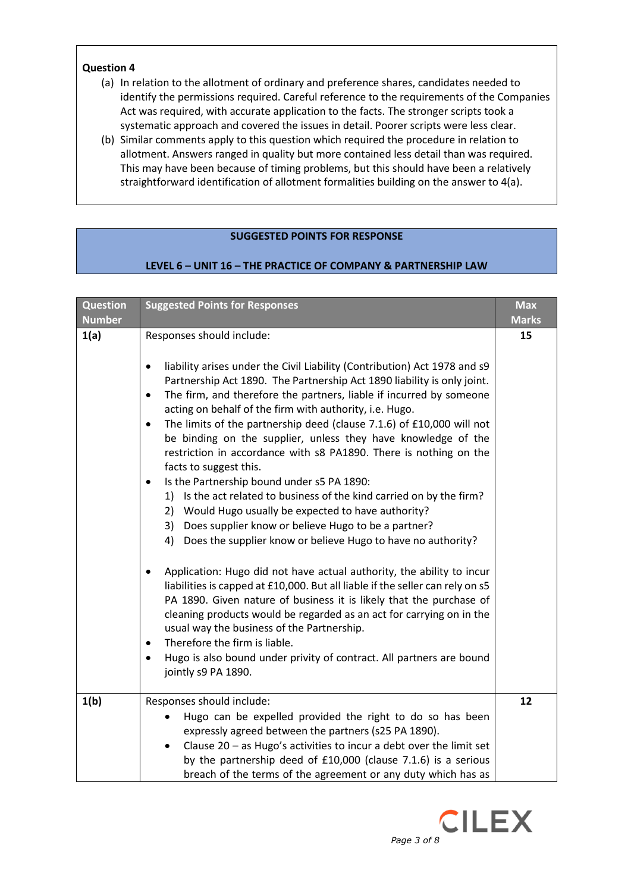## **Question 4**

- (a) In relation to the allotment of ordinary and preference shares, candidates needed to identify the permissions required. Careful reference to the requirements of the Companies Act was required, with accurate application to the facts. The stronger scripts took a systematic approach and covered the issues in detail. Poorer scripts were less clear.
- (b) Similar comments apply to this question which required the procedure in relation to allotment. Answers ranged in quality but more contained less detail than was required. This may have been because of timing problems, but this should have been a relatively straightforward identification of allotment formalities building on the answer to 4(a).

# **SUGGESTED POINTS FOR RESPONSE**

# **LEVEL 6 – UNIT 16 – THE PRACTICE OF COMPANY & PARTNERSHIP LAW**

| <b>Question</b><br><b>Number</b> | <b>Suggested Points for Responses</b>                                                                                                                                                                                                                                                                                                                                                                                                                                                                                                                                                                                                                                                                                                                                                                                                                                                                                                                                                                                                                                                                                                                                                                                                                                                                                                                                                                                                                      | <b>Max</b><br><b>Marks</b> |
|----------------------------------|------------------------------------------------------------------------------------------------------------------------------------------------------------------------------------------------------------------------------------------------------------------------------------------------------------------------------------------------------------------------------------------------------------------------------------------------------------------------------------------------------------------------------------------------------------------------------------------------------------------------------------------------------------------------------------------------------------------------------------------------------------------------------------------------------------------------------------------------------------------------------------------------------------------------------------------------------------------------------------------------------------------------------------------------------------------------------------------------------------------------------------------------------------------------------------------------------------------------------------------------------------------------------------------------------------------------------------------------------------------------------------------------------------------------------------------------------------|----------------------------|
| 1(a)                             | Responses should include:<br>liability arises under the Civil Liability (Contribution) Act 1978 and s9<br>$\bullet$<br>Partnership Act 1890. The Partnership Act 1890 liability is only joint.<br>The firm, and therefore the partners, liable if incurred by someone<br>$\bullet$<br>acting on behalf of the firm with authority, i.e. Hugo.<br>The limits of the partnership deed (clause 7.1.6) of £10,000 will not<br>$\bullet$<br>be binding on the supplier, unless they have knowledge of the<br>restriction in accordance with s8 PA1890. There is nothing on the<br>facts to suggest this.<br>Is the Partnership bound under s5 PA 1890:<br>$\bullet$<br>1) Is the act related to business of the kind carried on by the firm?<br>2) Would Hugo usually be expected to have authority?<br>3) Does supplier know or believe Hugo to be a partner?<br>4) Does the supplier know or believe Hugo to have no authority?<br>Application: Hugo did not have actual authority, the ability to incur<br>$\bullet$<br>liabilities is capped at £10,000. But all liable if the seller can rely on s5<br>PA 1890. Given nature of business it is likely that the purchase of<br>cleaning products would be regarded as an act for carrying on in the<br>usual way the business of the Partnership.<br>Therefore the firm is liable.<br>$\bullet$<br>Hugo is also bound under privity of contract. All partners are bound<br>$\bullet$<br>jointly s9 PA 1890. | 15                         |
| 1(b)                             | Responses should include:<br>Hugo can be expelled provided the right to do so has been<br>expressly agreed between the partners (s25 PA 1890).<br>Clause $20 - as Hugo's$ activities to incur a debt over the limit set<br>$\bullet$<br>by the partnership deed of £10,000 (clause 7.1.6) is a serious<br>breach of the terms of the agreement or any duty which has as                                                                                                                                                                                                                                                                                                                                                                                                                                                                                                                                                                                                                                                                                                                                                                                                                                                                                                                                                                                                                                                                                    | 12                         |

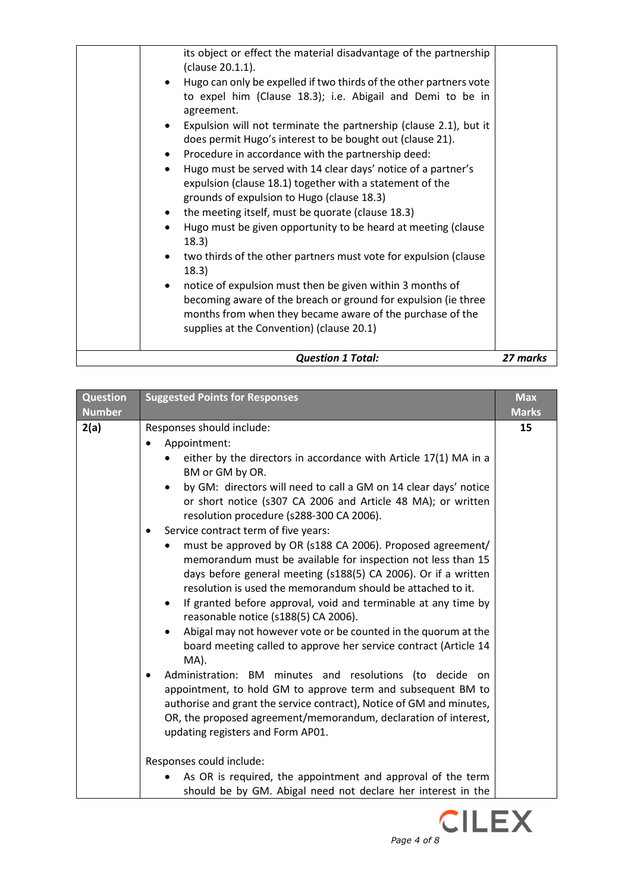| <b>Question 1 Total:</b>                                                                                                                                                                                                                                                                                                                                                                                                                                                                                                                                                                                                                                                                                                                                                  | 27 marks |
|---------------------------------------------------------------------------------------------------------------------------------------------------------------------------------------------------------------------------------------------------------------------------------------------------------------------------------------------------------------------------------------------------------------------------------------------------------------------------------------------------------------------------------------------------------------------------------------------------------------------------------------------------------------------------------------------------------------------------------------------------------------------------|----------|
| does permit Hugo's interest to be bought out (clause 21).<br>Procedure in accordance with the partnership deed:<br>$\bullet$<br>Hugo must be served with 14 clear days' notice of a partner's<br>$\bullet$<br>expulsion (clause 18.1) together with a statement of the<br>grounds of expulsion to Hugo (clause 18.3)<br>the meeting itself, must be quorate (clause 18.3)<br>Hugo must be given opportunity to be heard at meeting (clause<br>18.3)<br>two thirds of the other partners must vote for expulsion (clause<br>18.3)<br>notice of expulsion must then be given within 3 months of<br>becoming aware of the breach or ground for expulsion (ie three<br>months from when they became aware of the purchase of the<br>supplies at the Convention) (clause 20.1) |          |
| its object or effect the material disadvantage of the partnership<br>(clause 20.1.1).<br>Hugo can only be expelled if two thirds of the other partners vote<br>to expel him (Clause 18.3); i.e. Abigail and Demi to be in<br>agreement.<br>Expulsion will not terminate the partnership (clause 2.1), but it                                                                                                                                                                                                                                                                                                                                                                                                                                                              |          |

| <b>Question</b> | <b>Suggested Points for Responses</b>                                                                                                                                                                                                                                                                                                                                                                                                                                                                                                                                                                                                                                                                                                                                                                                                                                                                                                                                                                                                                                                                                                                                                                         | <b>Max</b>   |
|-----------------|---------------------------------------------------------------------------------------------------------------------------------------------------------------------------------------------------------------------------------------------------------------------------------------------------------------------------------------------------------------------------------------------------------------------------------------------------------------------------------------------------------------------------------------------------------------------------------------------------------------------------------------------------------------------------------------------------------------------------------------------------------------------------------------------------------------------------------------------------------------------------------------------------------------------------------------------------------------------------------------------------------------------------------------------------------------------------------------------------------------------------------------------------------------------------------------------------------------|--------------|
| <b>Number</b>   |                                                                                                                                                                                                                                                                                                                                                                                                                                                                                                                                                                                                                                                                                                                                                                                                                                                                                                                                                                                                                                                                                                                                                                                                               | <b>Marks</b> |
| 2(a)            | Responses should include:<br>Appointment:<br>either by the directors in accordance with Article 17(1) MA in a<br>BM or GM by OR.<br>by GM: directors will need to call a GM on 14 clear days' notice<br>or short notice (s307 CA 2006 and Article 48 MA); or written<br>resolution procedure (s288-300 CA 2006).<br>Service contract term of five years:<br>must be approved by OR (s188 CA 2006). Proposed agreement/<br>memorandum must be available for inspection not less than 15<br>days before general meeting (s188(5) CA 2006). Or if a written<br>resolution is used the memorandum should be attached to it.<br>If granted before approval, void and terminable at any time by<br>$\bullet$<br>reasonable notice (s188(5) CA 2006).<br>Abigal may not however vote or be counted in the quorum at the<br>board meeting called to approve her service contract (Article 14<br>MA).<br>Administration: BM minutes and resolutions (to decide on<br>٠<br>appointment, to hold GM to approve term and subsequent BM to<br>authorise and grant the service contract), Notice of GM and minutes,<br>OR, the proposed agreement/memorandum, declaration of interest,<br>updating registers and Form AP01. | 15           |
|                 | Responses could include:<br>As OR is required, the appointment and approval of the term<br>should be by GM. Abigal need not declare her interest in the                                                                                                                                                                                                                                                                                                                                                                                                                                                                                                                                                                                                                                                                                                                                                                                                                                                                                                                                                                                                                                                       |              |

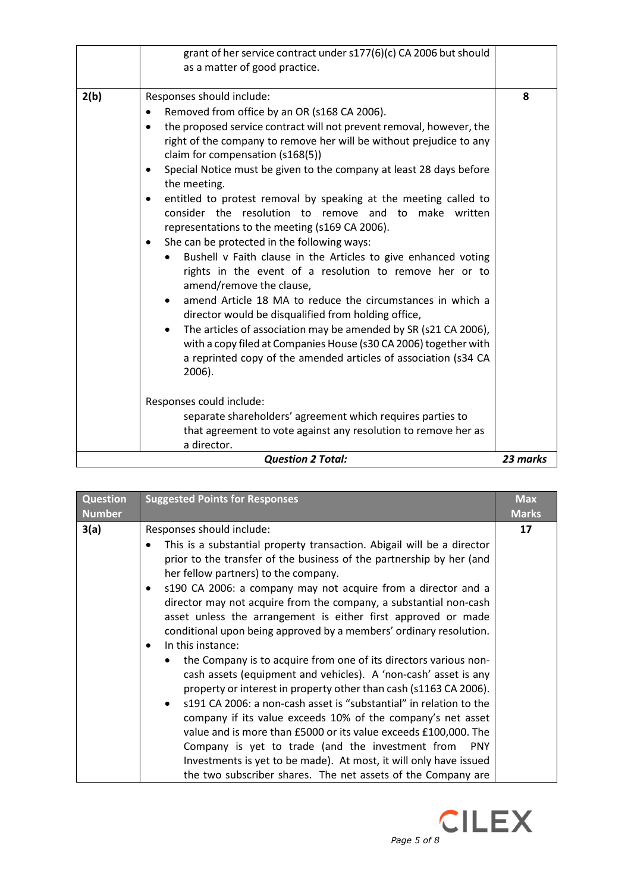|                          | grant of her service contract under s177(6)(c) CA 2006 but should<br>as a matter of good practice.                                                                                                                                                                                                                                                                                                                                                                                                                                                                                                                                                                                                                                                                                                                                                                                                                                                                                                                                                                                                                                                                                                                                                                       |   |
|--------------------------|--------------------------------------------------------------------------------------------------------------------------------------------------------------------------------------------------------------------------------------------------------------------------------------------------------------------------------------------------------------------------------------------------------------------------------------------------------------------------------------------------------------------------------------------------------------------------------------------------------------------------------------------------------------------------------------------------------------------------------------------------------------------------------------------------------------------------------------------------------------------------------------------------------------------------------------------------------------------------------------------------------------------------------------------------------------------------------------------------------------------------------------------------------------------------------------------------------------------------------------------------------------------------|---|
| 2(b)                     | Responses should include:<br>Removed from office by an OR (s168 CA 2006).<br>the proposed service contract will not prevent removal, however, the<br>right of the company to remove her will be without prejudice to any<br>claim for compensation (s168(5))<br>Special Notice must be given to the company at least 28 days before<br>the meeting.<br>entitled to protest removal by speaking at the meeting called to<br>٠<br>consider the resolution to remove and to make written<br>representations to the meeting (s169 CA 2006).<br>She can be protected in the following ways:<br>٠<br>Bushell v Faith clause in the Articles to give enhanced voting<br>rights in the event of a resolution to remove her or to<br>amend/remove the clause,<br>amend Article 18 MA to reduce the circumstances in which a<br>director would be disqualified from holding office,<br>The articles of association may be amended by SR (s21 CA 2006),<br>with a copy filed at Companies House (s30 CA 2006) together with<br>a reprinted copy of the amended articles of association (s34 CA<br>2006).<br>Responses could include:<br>separate shareholders' agreement which requires parties to<br>that agreement to vote against any resolution to remove her as<br>a director. | 8 |
| <b>Question 2 Total:</b> |                                                                                                                                                                                                                                                                                                                                                                                                                                                                                                                                                                                                                                                                                                                                                                                                                                                                                                                                                                                                                                                                                                                                                                                                                                                                          |   |

| <b>Question</b> | <b>Suggested Points for Responses</b>                                                                                                                                                                                                                                                                                                                                                                                                                                                                                                                                                                                                                                                                                                           | <b>Max</b>   |
|-----------------|-------------------------------------------------------------------------------------------------------------------------------------------------------------------------------------------------------------------------------------------------------------------------------------------------------------------------------------------------------------------------------------------------------------------------------------------------------------------------------------------------------------------------------------------------------------------------------------------------------------------------------------------------------------------------------------------------------------------------------------------------|--------------|
| <b>Number</b>   |                                                                                                                                                                                                                                                                                                                                                                                                                                                                                                                                                                                                                                                                                                                                                 | <b>Marks</b> |
| 3(a)            | Responses should include:<br>This is a substantial property transaction. Abigail will be a director<br>$\bullet$<br>prior to the transfer of the business of the partnership by her (and<br>her fellow partners) to the company.<br>s190 CA 2006: a company may not acquire from a director and a<br>$\bullet$<br>director may not acquire from the company, a substantial non-cash<br>asset unless the arrangement is either first approved or made                                                                                                                                                                                                                                                                                            | 17           |
|                 | conditional upon being approved by a members' ordinary resolution.<br>In this instance:<br>$\bullet$<br>the Company is to acquire from one of its directors various non-<br>$\bullet$<br>cash assets (equipment and vehicles). A 'non-cash' asset is any<br>property or interest in property other than cash (s1163 CA 2006).<br>s191 CA 2006: a non-cash asset is "substantial" in relation to the<br>$\bullet$<br>company if its value exceeds 10% of the company's net asset<br>value and is more than £5000 or its value exceeds £100,000. The<br>Company is yet to trade (and the investment from PNY<br>Investments is yet to be made). At most, it will only have issued<br>the two subscriber shares. The net assets of the Company are |              |

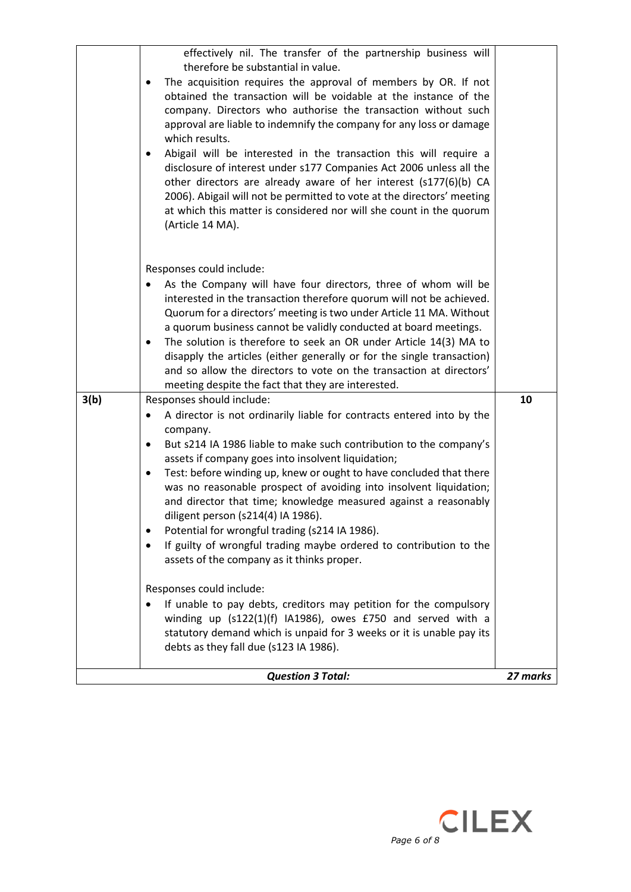|      | <b>Question 3 Total:</b>                                                                                                                                                                                                                                                                                                                                                                                                                                                                                                                                                                                                                                                                                                                                                                                            | 27 marks |
|------|---------------------------------------------------------------------------------------------------------------------------------------------------------------------------------------------------------------------------------------------------------------------------------------------------------------------------------------------------------------------------------------------------------------------------------------------------------------------------------------------------------------------------------------------------------------------------------------------------------------------------------------------------------------------------------------------------------------------------------------------------------------------------------------------------------------------|----------|
|      | Responses could include:<br>If unable to pay debts, creditors may petition for the compulsory<br>winding up (s122(1)(f) IA1986), owes £750 and served with a<br>statutory demand which is unpaid for 3 weeks or it is unable pay its<br>debts as they fall due (s123 IA 1986).                                                                                                                                                                                                                                                                                                                                                                                                                                                                                                                                      |          |
|      | and director that time; knowledge measured against a reasonably<br>diligent person (s214(4) IA 1986).<br>Potential for wrongful trading (s214 IA 1986).<br>If guilty of wrongful trading maybe ordered to contribution to the<br>assets of the company as it thinks proper.                                                                                                                                                                                                                                                                                                                                                                                                                                                                                                                                         |          |
|      | company.<br>But s214 IA 1986 liable to make such contribution to the company's<br>٠<br>assets if company goes into insolvent liquidation;<br>Test: before winding up, knew or ought to have concluded that there<br>٠<br>was no reasonable prospect of avoiding into insolvent liquidation;                                                                                                                                                                                                                                                                                                                                                                                                                                                                                                                         |          |
| 3(b) | meeting despite the fact that they are interested.<br>Responses should include:<br>A director is not ordinarily liable for contracts entered into by the<br>٠                                                                                                                                                                                                                                                                                                                                                                                                                                                                                                                                                                                                                                                       | 10       |
|      | Responses could include:<br>As the Company will have four directors, three of whom will be<br>interested in the transaction therefore quorum will not be achieved.<br>Quorum for a directors' meeting is two under Article 11 MA. Without<br>a quorum business cannot be validly conducted at board meetings.<br>The solution is therefore to seek an OR under Article 14(3) MA to<br>$\bullet$<br>disapply the articles (either generally or for the single transaction)<br>and so allow the directors to vote on the transaction at directors'                                                                                                                                                                                                                                                                    |          |
|      | effectively nil. The transfer of the partnership business will<br>therefore be substantial in value.<br>The acquisition requires the approval of members by OR. If not<br>$\bullet$<br>obtained the transaction will be voidable at the instance of the<br>company. Directors who authorise the transaction without such<br>approval are liable to indemnify the company for any loss or damage<br>which results.<br>Abigail will be interested in the transaction this will require a<br>$\bullet$<br>disclosure of interest under s177 Companies Act 2006 unless all the<br>other directors are already aware of her interest (s177(6)(b) CA<br>2006). Abigail will not be permitted to vote at the directors' meeting<br>at which this matter is considered nor will she count in the quorum<br>(Article 14 MA). |          |
|      |                                                                                                                                                                                                                                                                                                                                                                                                                                                                                                                                                                                                                                                                                                                                                                                                                     |          |

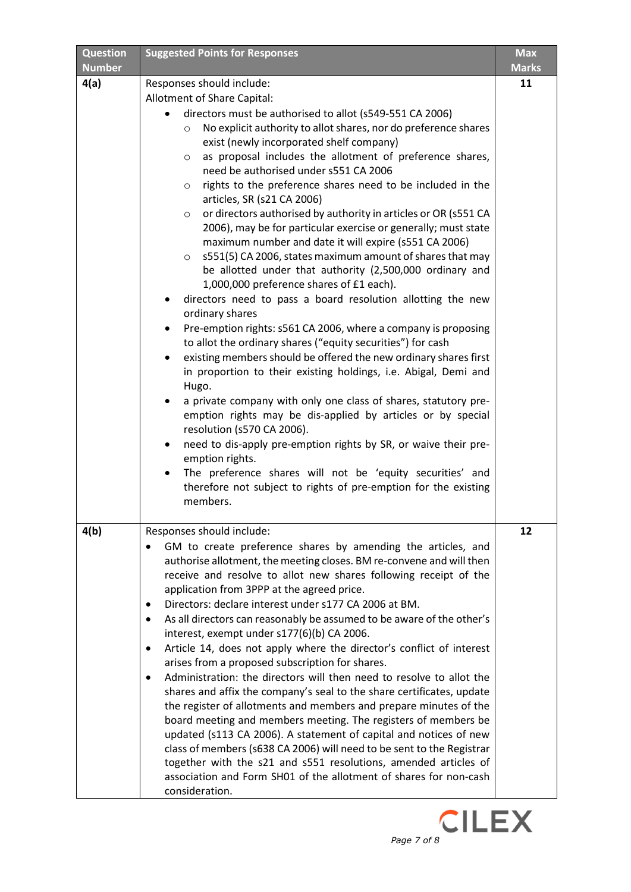| <b>Question</b>       | <b>Suggested Points for Responses</b>                                                                                                                                                                                                                                                                                                                                                                                                                                                                                                                                                                                                                                                                                                                                                                                                                                                                                                                                                                                                                                                                                                                                                                                                                                                                                                                                                                                                                                                                                                                                                                                                                       | <b>Max</b>         |
|-----------------------|-------------------------------------------------------------------------------------------------------------------------------------------------------------------------------------------------------------------------------------------------------------------------------------------------------------------------------------------------------------------------------------------------------------------------------------------------------------------------------------------------------------------------------------------------------------------------------------------------------------------------------------------------------------------------------------------------------------------------------------------------------------------------------------------------------------------------------------------------------------------------------------------------------------------------------------------------------------------------------------------------------------------------------------------------------------------------------------------------------------------------------------------------------------------------------------------------------------------------------------------------------------------------------------------------------------------------------------------------------------------------------------------------------------------------------------------------------------------------------------------------------------------------------------------------------------------------------------------------------------------------------------------------------------|--------------------|
| <b>Number</b><br>4(a) | Responses should include:<br>Allotment of Share Capital:<br>directors must be authorised to allot (s549-551 CA 2006)<br>No explicit authority to allot shares, nor do preference shares<br>$\circ$<br>exist (newly incorporated shelf company)<br>as proposal includes the allotment of preference shares,<br>$\circ$<br>need be authorised under s551 CA 2006<br>rights to the preference shares need to be included in the<br>$\circ$<br>articles, SR (s21 CA 2006)<br>or directors authorised by authority in articles or OR (s551 CA<br>$\circ$<br>2006), may be for particular exercise or generally; must state<br>maximum number and date it will expire (s551 CA 2006)<br>s551(5) CA 2006, states maximum amount of shares that may<br>$\circ$<br>be allotted under that authority (2,500,000 ordinary and<br>1,000,000 preference shares of £1 each).<br>directors need to pass a board resolution allotting the new<br>ordinary shares<br>Pre-emption rights: s561 CA 2006, where a company is proposing<br>٠<br>to allot the ordinary shares ("equity securities") for cash<br>existing members should be offered the new ordinary shares first<br>$\bullet$<br>in proportion to their existing holdings, i.e. Abigal, Demi and<br>Hugo.<br>a private company with only one class of shares, statutory pre-<br>emption rights may be dis-applied by articles or by special<br>resolution (s570 CA 2006).<br>need to dis-apply pre-emption rights by SR, or waive their pre-<br>٠<br>emption rights.<br>The preference shares will not be 'equity securities' and<br>$\bullet$<br>therefore not subject to rights of pre-emption for the existing | <b>Marks</b><br>11 |
| 4(b)                  | members.<br>Responses should include:<br>GM to create preference shares by amending the articles, and<br>authorise allotment, the meeting closes. BM re-convene and will then<br>receive and resolve to allot new shares following receipt of the<br>application from 3PPP at the agreed price.<br>Directors: declare interest under s177 CA 2006 at BM.<br>٠<br>As all directors can reasonably be assumed to be aware of the other's<br>٠<br>interest, exempt under s177(6)(b) CA 2006.<br>Article 14, does not apply where the director's conflict of interest<br>٠<br>arises from a proposed subscription for shares.<br>Administration: the directors will then need to resolve to allot the<br>$\bullet$<br>shares and affix the company's seal to the share certificates, update<br>the register of allotments and members and prepare minutes of the<br>board meeting and members meeting. The registers of members be<br>updated (s113 CA 2006). A statement of capital and notices of new<br>class of members (s638 CA 2006) will need to be sent to the Registrar<br>together with the s21 and s551 resolutions, amended articles of<br>association and Form SH01 of the allotment of shares for non-cash<br>consideration.                                                                                                                                                                                                                                                                                                                                                                                                                      | 12                 |